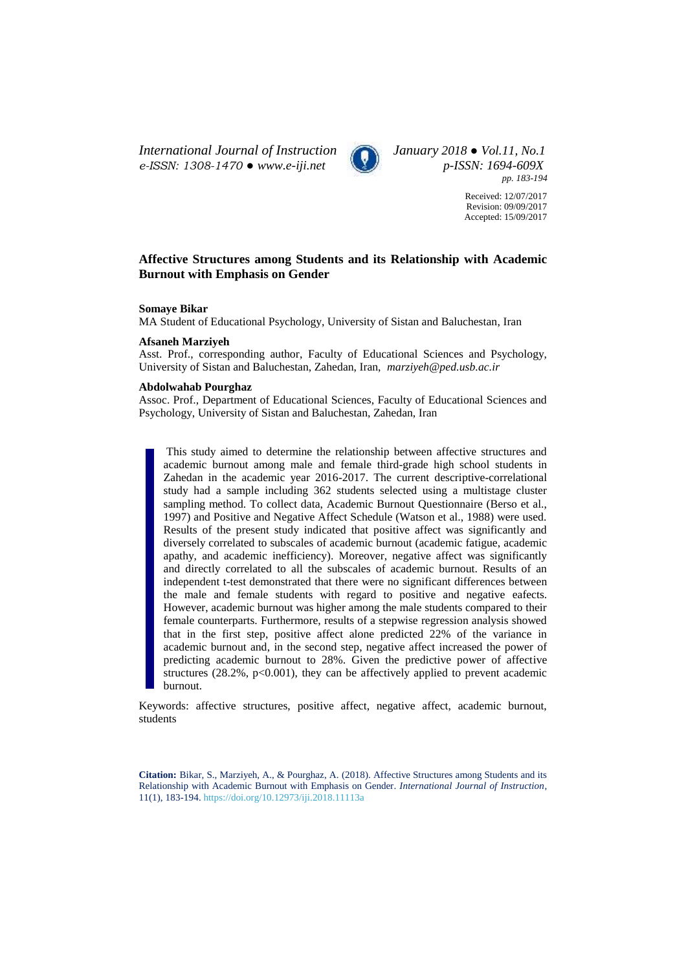*International Journal of Instruction January 2018 ● Vol.11, No.1 e-ISSN: 1308-1470 ● [www.e-iji.net](http://www.e-iji.net/) p-ISSN: 1694-609X*



*pp. 183-194*

Received: 12/07/2017 Revision: 09/09/2017 Accepted: 15/09/2017

# **Affective Structures among Students and its Relationship with Academic Burnout with Emphasis on Gender**

### **Somaye Bikar**

MA Student of Educational Psychology, University of Sistan and Baluchestan, Iran

### **Afsaneh Marziyeh**

Asst. Prof., corresponding author, Faculty of Educational Sciences and Psychology, University of Sistan and Baluchestan, Zahedan, Iran, *[marziyeh@ped.usb.ac.ir](mailto:marziyeh@ped.usb.ac.ir)*

## **Abdolwahab Pourghaz**

Assoc. Prof., Department of Educational Sciences, Faculty of Educational Sciences and Psychology, University of Sistan and Baluchestan, Zahedan, Iran

This study aimed to determine the relationship between affective structures and academic burnout among male and female third-grade high school students in Zahedan in the academic year 2016-2017. The current descriptive-correlational study had a sample including 362 students selected using a multistage cluster sampling method. To collect data, Academic Burnout Questionnaire (Berso et al., 1997) and Positive and Negative Affect Schedule (Watson et al., 1988) were used. Results of the present study indicated that positive affect was significantly and diversely correlated to subscales of academic burnout (academic fatigue, academic apathy, and academic inefficiency). Moreover, negative affect was significantly and directly correlated to all the subscales of academic burnout. Results of an independent t-test demonstrated that there were no significant differences between the male and female students with regard to positive and negative eafects. However, academic burnout was higher among the male students compared to their female counterparts. Furthermore, results of a stepwise regression analysis showed that in the first step, positive affect alone predicted 22% of the variance in academic burnout and, in the second step, negative affect increased the power of predicting academic burnout to 28%. Given the predictive power of affective structures  $(28.2\% , p<0.001)$ , they can be affectively applied to prevent academic burnout.

Keywords: affective structures, positive affect, negative affect, academic burnout, students

**Citation:** Bikar, S., Marziyeh, A., & Pourghaz, A. (2018). Affective Structures among Students and its Relationship with Academic Burnout with Emphasis on Gender. *International Journal of Instruction*, 11(1), 183-194. <https://doi.org/10.12973/iji.2018.11113a>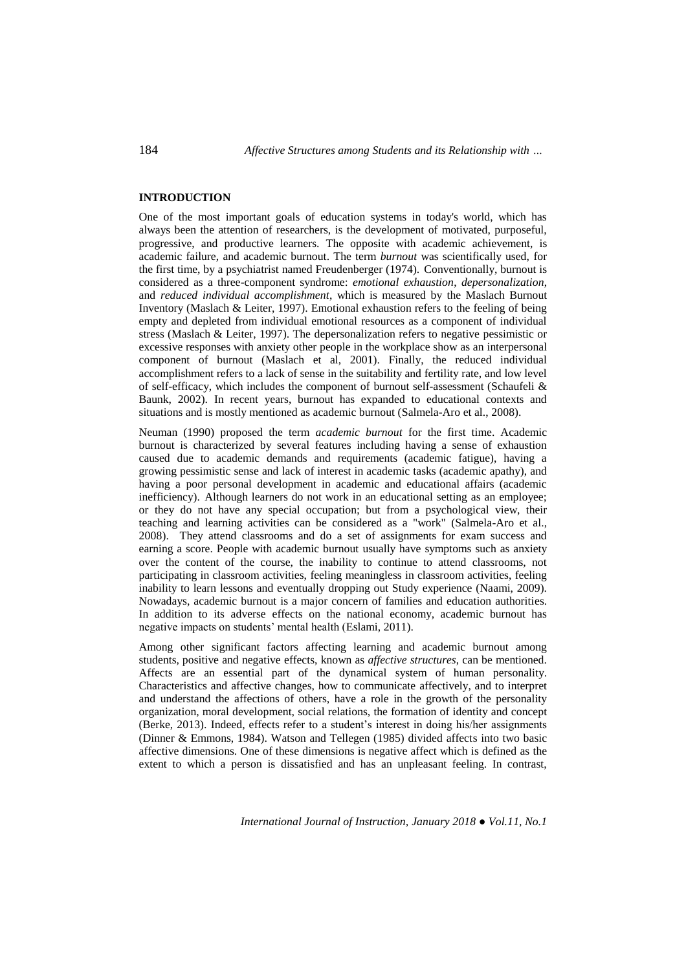## **INTRODUCTION**

One of the most important goals of education systems in today's world, which has always been the attention of researchers, is the development of motivated, purposeful, progressive, and productive learners. The opposite with academic achievement, is academic failure, and academic burnout. The term *burnout* was scientifically used, for the first time, by a psychiatrist named Freudenberger (1974). Conventionally, burnout is considered as a three-component syndrome: *emotional exhaustion*, *depersonalization*, and *reduced individual accomplishment*, which is measured by the Maslach Burnout Inventory (Maslach & Leiter, 1997). Emotional exhaustion refers to the feeling of being empty and depleted from individual emotional resources as a component of individual stress (Maslach & Leiter, 1997). The depersonalization refers to negative pessimistic or excessive responses with anxiety other people in the workplace show as an interpersonal component of burnout (Maslach et al, 2001). Finally, the reduced individual accomplishment refers to a lack of sense in the suitability and fertility rate, and low level of self-efficacy, which includes the component of burnout self-assessment (Schaufeli & Baunk, 2002). In recent years, burnout has expanded to educational contexts and situations and is mostly mentioned as academic burnout (Salmela-Aro et al., 2008).

Neuman (1990) proposed the term *academic burnout* for the first time. Academic burnout is characterized by several features including having a sense of exhaustion caused due to academic demands and requirements (academic fatigue), having a growing pessimistic sense and lack of interest in academic tasks (academic apathy), and having a poor personal development in academic and educational affairs (academic inefficiency). Although learners do not work in an educational setting as an employee; or they do not have any special occupation; but from a psychological view, their teaching and learning activities can be considered as a "work" (Salmela-Aro et al., 2008). They attend classrooms and do a set of assignments for exam success and earning a score. People with academic burnout usually have symptoms such as anxiety over the content of the course, the inability to continue to attend classrooms, not participating in classroom activities, feeling meaningless in classroom activities, feeling inability to learn lessons and eventually dropping out Study experience (Naami, 2009). Nowadays, academic burnout is a major concern of families and education authorities. In addition to its adverse effects on the national economy, academic burnout has negative impacts on students' mental health (Eslami, 2011).

Among other significant factors affecting learning and academic burnout among students, positive and negative effects, known as *affective structures*, can be mentioned. Affects are an essential part of the dynamical system of human personality. Characteristics and affective changes, how to communicate affectively, and to interpret and understand the affections of others, have a role in the growth of the personality organization, moral development, social relations, the formation of identity and concept (Berke, 2013). Indeed, effects refer to a student's interest in doing his/her assignments (Dinner & Emmons, 1984). Watson and Tellegen (1985) divided affects into two basic affective dimensions. One of these dimensions is negative affect which is defined as the extent to which a person is dissatisfied and has an unpleasant feeling. In contrast,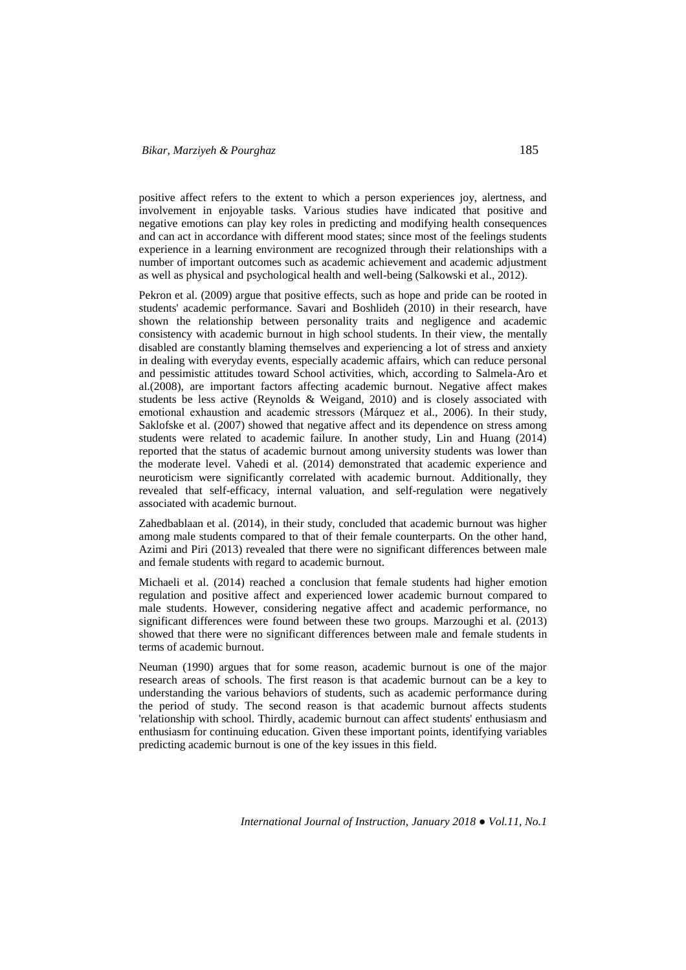positive affect refers to the extent to which a person experiences joy, alertness, and involvement in enjoyable tasks. Various studies have indicated that positive and negative emotions can play key roles in predicting and modifying health consequences and can act in accordance with different mood states; since most of the feelings students experience in a learning environment are recognized through their relationships with a number of important outcomes such as academic achievement and academic adjustment as well as physical and psychological health and well-being (Salkowski et al., 2012).

Pekron et al. (2009) argue that positive effects, such as hope and pride can be rooted in students' academic performance. Savari and Boshlideh (2010) in their research, have shown the relationship between personality traits and negligence and academic consistency with academic burnout in high school students. In their view, the mentally disabled are constantly blaming themselves and experiencing a lot of stress and anxiety in dealing with everyday events, especially academic affairs, which can reduce personal and pessimistic attitudes toward School activities, which, according to Salmela-Aro et al.(2008), are important factors affecting academic burnout. Negative affect makes students be less active (Reynolds & Weigand, 2010) and is closely associated with emotional exhaustion and academic stressors (Márquez et al., 2006). In their study, Saklofske et al. (2007) showed that negative affect and its dependence on stress among students were related to academic failure. In another study, Lin and Huang (2014) reported that the status of academic burnout among university students was lower than the moderate level. Vahedi et al. (2014) demonstrated that academic experience and neuroticism were significantly correlated with academic burnout. Additionally, they revealed that self-efficacy, internal valuation, and self-regulation were negatively associated with academic burnout.

Zahedbablaan et al. (2014), in their study, concluded that academic burnout was higher among male students compared to that of their female counterparts. On the other hand, Azimi and Piri (2013) revealed that there were no significant differences between male and female students with regard to academic burnout.

Michaeli et al. (2014) reached a conclusion that female students had higher emotion regulation and positive affect and experienced lower academic burnout compared to male students. However, considering negative affect and academic performance, no significant differences were found between these two groups. Marzoughi et al. (2013) showed that there were no significant differences between male and female students in terms of academic burnout.

Neuman (1990) argues that for some reason, academic burnout is one of the major research areas of schools. The first reason is that academic burnout can be a key to understanding the various behaviors of students, such as academic performance during the period of study. The second reason is that academic burnout affects students 'relationship with school. Thirdly, academic burnout can affect students' enthusiasm and enthusiasm for continuing education. Given these important points, identifying variables predicting academic burnout is one of the key issues in this field.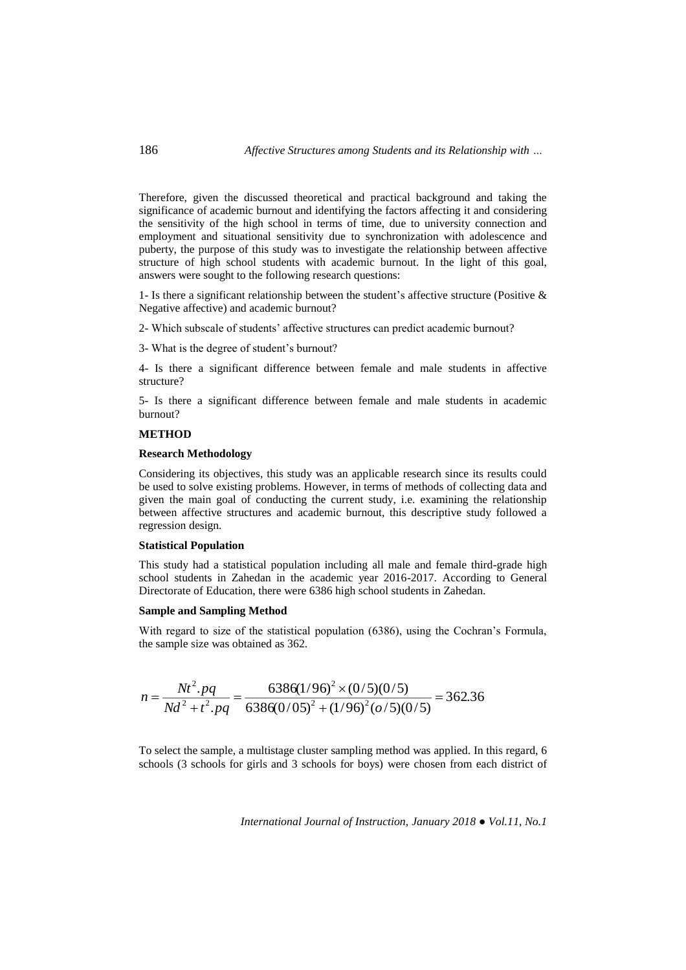Therefore, given the discussed theoretical and practical background and taking the significance of academic burnout and identifying the factors affecting it and considering the sensitivity of the high school in terms of time, due to university connection and employment and situational sensitivity due to synchronization with adolescence and puberty, the purpose of this study was to investigate the relationship between affective structure of high school students with academic burnout. In the light of this goal, answers were sought to the following research questions:

1- Is there a significant relationship between the student's affective structure (Positive & Negative affective) and academic burnout?

2- Which subscale of students' affective structures can predict academic burnout?

3- What is the degree of student's burnout?

4- Is there a significant difference between female and male students in affective structure?

5- Is there a significant difference between female and male students in academic burnout?

# **METHOD**

#### **Research Methodology**

Considering its objectives, this study was an applicable research since its results could be used to solve existing problems. However, in terms of methods of collecting data and given the main goal of conducting the current study, i.e. examining the relationship between affective structures and academic burnout, this descriptive study followed a regression design.

## **Statistical Population**

This study had a statistical population including all male and female third-grade high school students in Zahedan in the academic year 2016-2017. According to General Directorate of Education, there were 6386 high school students in Zahedan.

# **Sample and Sampling Method**

With regard to size of the statistical population (6386), using the Cochran's Formula, the sample size was obtained as 362.

$$
n = \frac{Nt^2 . pq}{Nd^2 + t^2 . pq} = \frac{6386(1/96)^2 \times (0/5)(0/5)}{6386(0/05)^2 + (1/96)^2(o/5)(0/5)} = 362.36
$$

To select the sample, a multistage cluster sampling method was applied. In this regard, 6 schools (3 schools for girls and 3 schools for boys) were chosen from each district of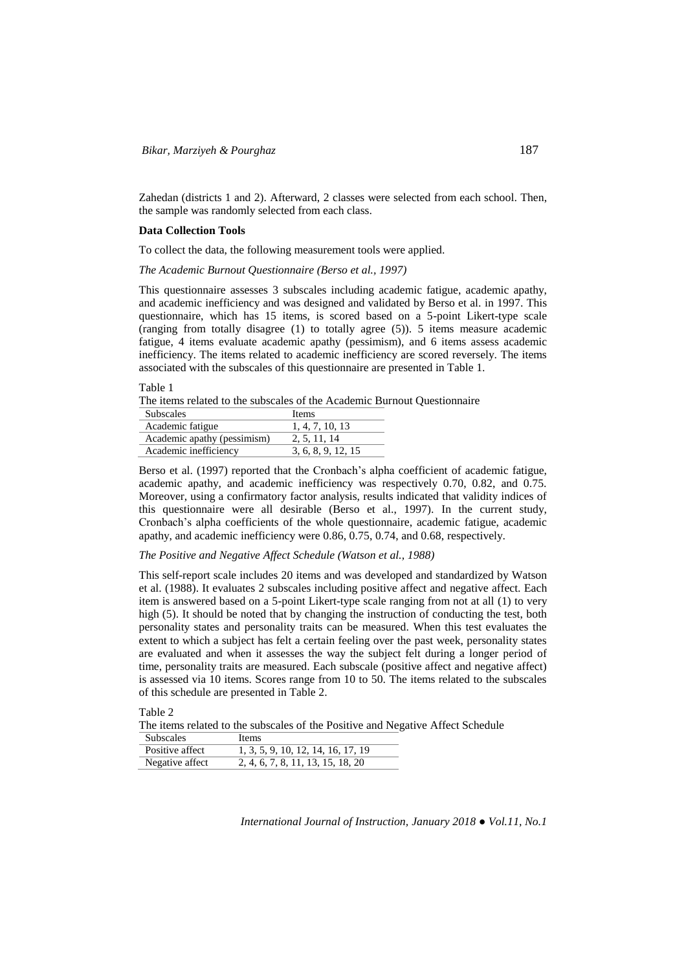Zahedan (districts 1 and 2). Afterward, 2 classes were selected from each school. Then, the sample was randomly selected from each class.

## **Data Collection Tools**

To collect the data, the following measurement tools were applied.

*The Academic Burnout Questionnaire (Berso et al., 1997)*

This questionnaire assesses 3 subscales including academic fatigue, academic apathy, and academic inefficiency and was designed and validated by Berso et al. in 1997. This questionnaire, which has 15 items, is scored based on a 5-point Likert-type scale (ranging from totally disagree (1) to totally agree (5)). 5 items measure academic fatigue, 4 items evaluate academic apathy (pessimism), and 6 items assess academic inefficiency. The items related to academic inefficiency are scored reversely. The items associated with the subscales of this questionnaire are presented in Table 1.

# Table 1

The items related to the subscales of the Academic Burnout Questionnaire

| Subscales                   | Items              |
|-----------------------------|--------------------|
| Academic fatigue            | 1, 4, 7, 10, 13    |
| Academic apathy (pessimism) | 2, 5, 11, 14       |
| Academic inefficiency       | 3, 6, 8, 9, 12, 15 |

Berso et al. (1997) reported that the Cronbach's alpha coefficient of academic fatigue, academic apathy, and academic inefficiency was respectively 0.70, 0.82, and 0.75. Moreover, using a confirmatory factor analysis, results indicated that validity indices of this questionnaire were all desirable (Berso et al., 1997). In the current study, Cronbach's alpha coefficients of the whole questionnaire, academic fatigue, academic apathy, and academic inefficiency were 0.86, 0.75, 0.74, and 0.68, respectively.

### *The Positive and Negative Affect Schedule (Watson et al., 1988)*

This self-report scale includes 20 items and was developed and standardized by Watson et al. (1988). It evaluates 2 subscales including positive affect and negative affect. Each item is answered based on a 5-point Likert-type scale ranging from not at all (1) to very high (5). It should be noted that by changing the instruction of conducting the test, both personality states and personality traits can be measured. When this test evaluates the extent to which a subject has felt a certain feeling over the past week, personality states are evaluated and when it assesses the way the subject felt during a longer period of time, personality traits are measured. Each subscale (positive affect and negative affect) is assessed via 10 items. Scores range from 10 to 50. The items related to the subscales of this schedule are presented in Table 2.

Table 2

The items related to the subscales of the Positive and Negative Affect Schedule

| <b>Subscales</b> | Items                              |
|------------------|------------------------------------|
| Positive affect  | 1, 3, 5, 9, 10, 12, 14, 16, 17, 19 |
| Negative affect  | 2, 4, 6, 7, 8, 11, 13, 15, 18, 20  |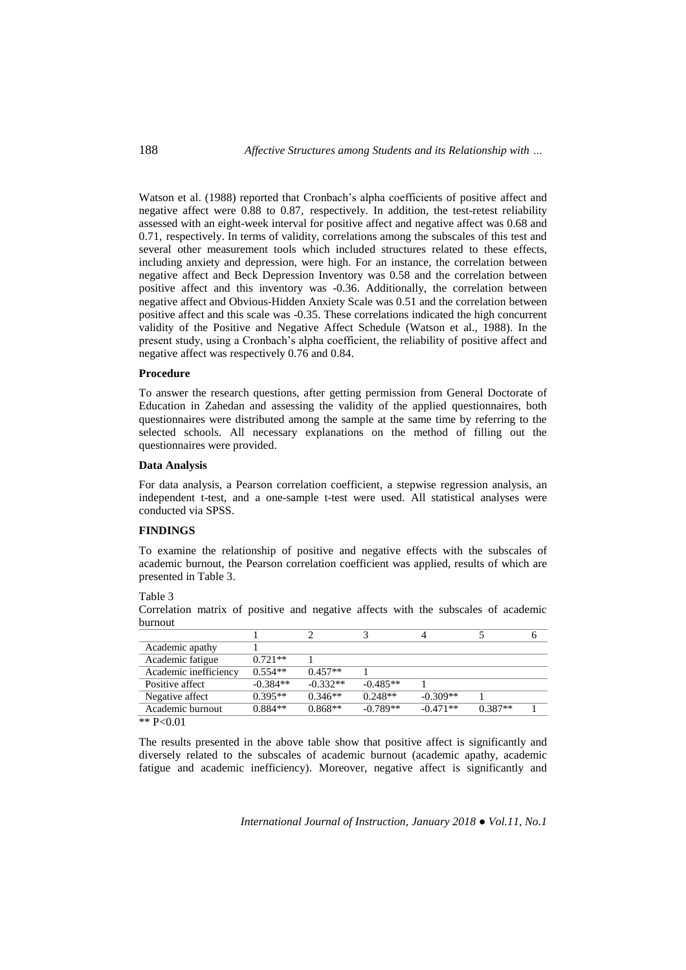Watson et al. (1988) reported that Cronbach's alpha coefficients of positive affect and negative affect were 0.88 to 0.87, respectively. In addition, the test-retest reliability assessed with an eight-week interval for positive affect and negative affect was 0.68 and 0.71, respectively. In terms of validity, correlations among the subscales of this test and several other measurement tools which included structures related to these effects, including anxiety and depression, were high. For an instance, the correlation between negative affect and Beck Depression Inventory was 0.58 and the correlation between positive affect and this inventory was -0.36. Additionally, the correlation between negative affect and Obvious-Hidden Anxiety Scale was 0.51 and the correlation between positive affect and this scale was -0.35. These correlations indicated the high concurrent validity of the Positive and Negative Affect Schedule (Watson et al., 1988). In the present study, using a Cronbach's alpha coefficient, the reliability of positive affect and negative affect was respectively 0.76 and 0.84.

## **Procedure**

To answer the research questions, after getting permission from General Doctorate of Education in Zahedan and assessing the validity of the applied questionnaires, both questionnaires were distributed among the sample at the same time by referring to the selected schools. All necessary explanations on the method of filling out the questionnaires were provided.

### **Data Analysis**

For data analysis, a Pearson correlation coefficient, a stepwise regression analysis, an independent t-test, and a one-sample t-test were used. All statistical analyses were conducted via SPSS.

### **FINDINGS**

To examine the relationship of positive and negative effects with the subscales of academic burnout, the Pearson correlation coefficient was applied, results of which are presented in Table 3.

Table 3

Correlation matrix of positive and negative affects with the subscales of academic burnout

|                       |            |            |            |            |           | O |
|-----------------------|------------|------------|------------|------------|-----------|---|
| Academic apathy       |            |            |            |            |           |   |
| Academic fatigue      | $0.721**$  |            |            |            |           |   |
| Academic inefficiency | $0.554**$  | $0.457**$  |            |            |           |   |
| Positive affect       | $-0.384**$ | $-0.332**$ | $-0.485**$ |            |           |   |
| Negative affect       | $0.395**$  | $0.346**$  | $0.248**$  | $-0.309**$ |           |   |
| Academic burnout      | $0.884**$  | $0.868**$  | $-0.789**$ | $-0.471**$ | $0.387**$ |   |
| ** $P<0.01$           |            |            |            |            |           |   |

The results presented in the above table show that positive affect is significantly and diversely related to the subscales of academic burnout (academic apathy, academic fatigue and academic inefficiency). Moreover, negative affect is significantly and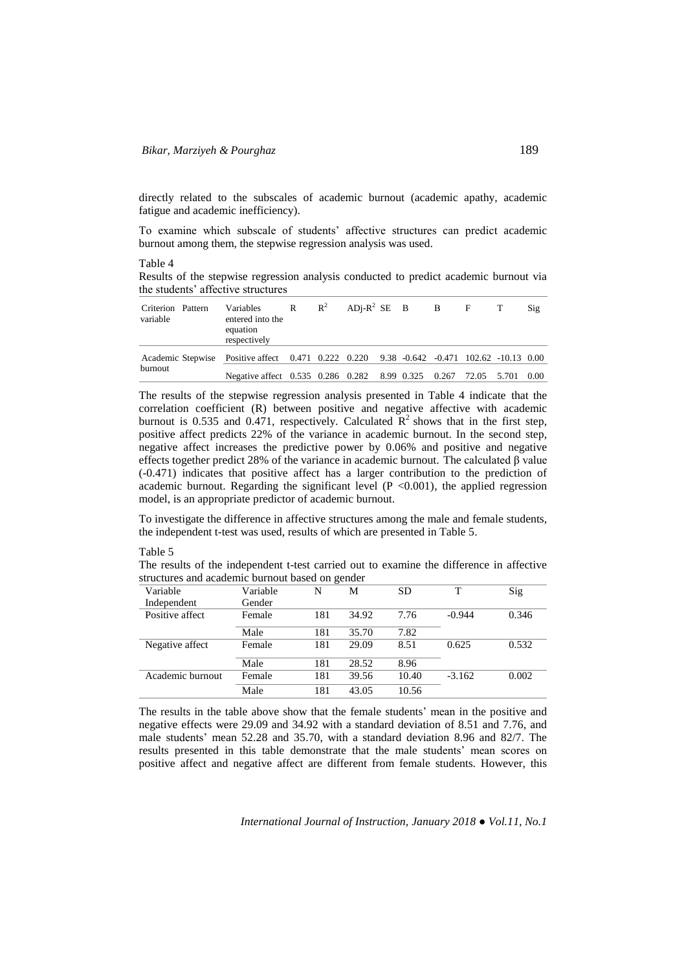directly related to the subscales of academic burnout (academic apathy, academic fatigue and academic inefficiency).

To examine which subscale of students' affective structures can predict academic burnout among them, the stepwise regression analysis was used.

Table 4

Results of the stepwise regression analysis conducted to predict academic burnout via the students' affective structures

| Criterion Pattern<br>variable |  | Variables $R$ $R^2$ $ADj-R^2$ SE B B F T<br>entered into the<br>equation<br>respectively  |  |  |  |  | Sig |
|-------------------------------|--|-------------------------------------------------------------------------------------------|--|--|--|--|-----|
|                               |  | Academic Stepwise Positive affect 0.471 0.222 0.220 9.38 -0.642 -0.471 102.62 -10.13 0.00 |  |  |  |  |     |
| burnout                       |  | Negative affect 0.535 0.286 0.282 8.99 0.325 0.267 72.05 5.701 0.00                       |  |  |  |  |     |

The results of the stepwise regression analysis presented in Table 4 indicate that the correlation coefficient (R) between positive and negative affective with academic burnout is 0.535 and 0.471, respectively. Calculated  $\mathbb{R}^2$  shows that in the first step, positive affect predicts 22% of the variance in academic burnout. In the second step, negative affect increases the predictive power by 0.06% and positive and negative effects together predict 28% of the variance in academic burnout. The calculated β value (-0.471) indicates that positive affect has a larger contribution to the prediction of academic burnout. Regarding the significant level  $(P \le 0.001)$ , the applied regression model, is an appropriate predictor of academic burnout.

To investigate the difference in affective structures among the male and female students, the independent t-test was used, results of which are presented in Table 5.

Table 5

The results of the independent t-test carried out to examine the difference in affective structures and academic burnout based on gender

| Variable         | Variable | N   | М     | <b>SD</b> | Т        | Sig   |
|------------------|----------|-----|-------|-----------|----------|-------|
| Independent      | Gender   |     |       |           |          |       |
| Positive affect  | Female   | 181 | 34.92 | 7.76      | $-0.944$ | 0.346 |
|                  | Male     | 181 | 35.70 | 7.82      |          |       |
|                  |          |     |       |           |          |       |
| Negative affect  | Female   | 181 | 29.09 | 8.51      | 0.625    | 0.532 |
|                  | Male     | 181 | 28.52 | 8.96      |          |       |
| Academic burnout | Female   | 181 | 39.56 | 10.40     | $-3.162$ | 0.002 |
|                  | Male     | 181 | 43.05 | 10.56     |          |       |

The results in the table above show that the female students' mean in the positive and negative effects were 29.09 and 34.92 with a standard deviation of 8.51 and 7.76, and male students' mean 52.28 and 35.70, with a standard deviation 8.96 and 82/7. The results presented in this table demonstrate that the male students' mean scores on positive affect and negative affect are different from female students. However, this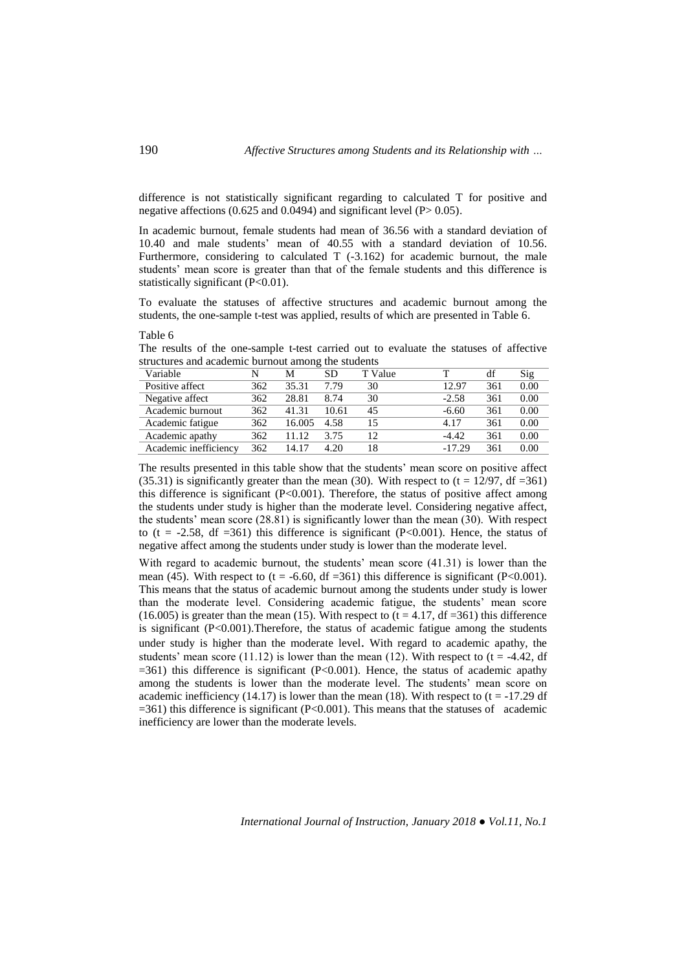difference is not statistically significant regarding to calculated T for positive and negative affections (0.625 and 0.0494) and significant level ( $P > 0.05$ ).

In academic burnout, female students had mean of 36.56 with a standard deviation of 10.40 and male students' mean of 40.55 with a standard deviation of 10.56. Furthermore, considering to calculated T (-3.162) for academic burnout, the male students' mean score is greater than that of the female students and this difference is statistically significant (P<0.01).

To evaluate the statuses of affective structures and academic burnout among the students, the one-sample t-test was applied, results of which are presented in Table 6.

Table 6

The results of the one-sample t-test carried out to evaluate the statuses of affective structures and academic burnout among the students

| Variable              |     | M      | <b>SD</b> | T Value |          | df  | Sig  |
|-----------------------|-----|--------|-----------|---------|----------|-----|------|
| Positive affect       | 362 | 35.31  | 7.79      | 30      | 12.97    | 361 | 0.00 |
| Negative affect       | 362 | 28.81  | 8.74      | 30      | $-2.58$  | 361 | 0.00 |
| Academic burnout      | 362 | 41.31  | 10.61     | 45      | $-6.60$  | 361 | 0.00 |
| Academic fatigue      | 362 | 16.005 | 4.58      | 15      | 4.17     | 361 | 0.00 |
| Academic apathy       | 362 | 11.12  | 3.75      | 12      | $-4.42$  | 361 | 0.00 |
| Academic inefficiency | 362 | 14.17  | 4.20      | 18      | $-17.29$ | 361 | 0.00 |

The results presented in this table show that the students' mean score on positive affect  $(35.31)$  is significantly greater than the mean (30). With respect to  $(t = 12/97, df = 361)$ this difference is significant (P<0.001). Therefore, the status of positive affect among the students under study is higher than the moderate level. Considering negative affect, the students' mean score (28.81) is significantly lower than the mean (30). With respect to (t =  $-2.58$ , df =361) this difference is significant (P<0.001). Hence, the status of negative affect among the students under study is lower than the moderate level.

With regard to academic burnout, the students' mean score (41.31) is lower than the mean (45). With respect to  $(t = -6.60, df = 361)$  this difference is significant (P<0.001). This means that the status of academic burnout among the students under study is lower than the moderate level. Considering academic fatigue, the students' mean score (16.005) is greater than the mean (15). With respect to  $(t = 4.17, df = 361)$  this difference is significant  $(P<0.001)$ . Therefore, the status of academic fatigue among the students under study is higher than the moderate level. With regard to academic apathy, the students' mean score (11.12) is lower than the mean (12). With respect to ( $t = -4.42$ , df  $=361$ ) this difference is significant (P<0.001). Hence, the status of academic apathy among the students is lower than the moderate level. The students' mean score on academic inefficiency (14.17) is lower than the mean (18). With respect to  $(t = -17.29 \text{ df})$  $=361$ ) this difference is significant (P<0.001). This means that the statuses of academic inefficiency are lower than the moderate levels.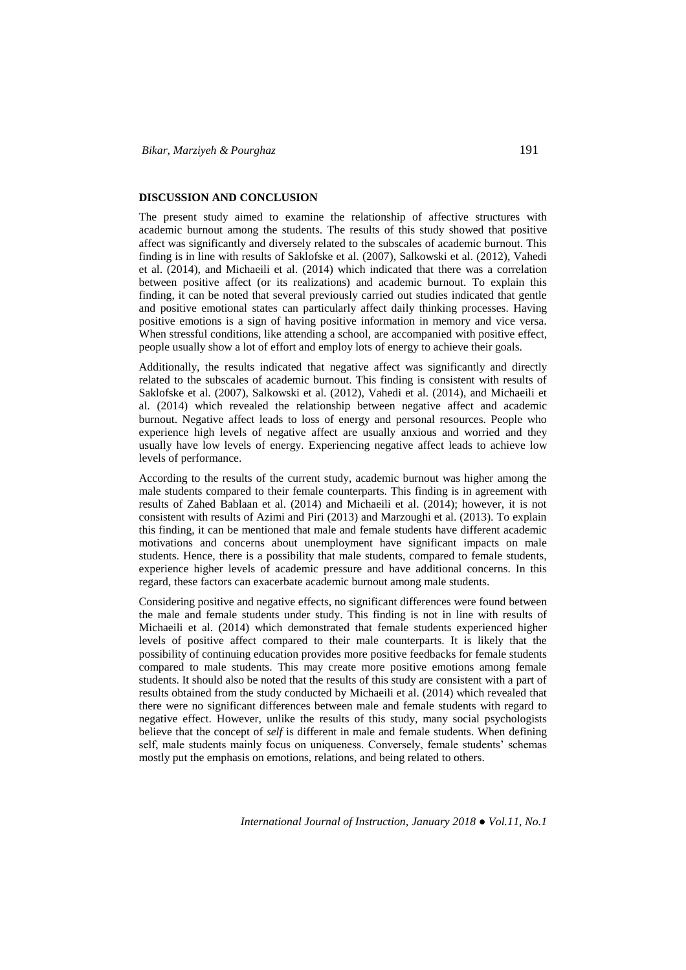## **DISCUSSION AND CONCLUSION**

The present study aimed to examine the relationship of affective structures with academic burnout among the students. The results of this study showed that positive affect was significantly and diversely related to the subscales of academic burnout. This finding is in line with results of Saklofske et al. (2007), Salkowski et al. (2012), Vahedi et al. (2014), and Michaeili et al. (2014) which indicated that there was a correlation between positive affect (or its realizations) and academic burnout. To explain this finding, it can be noted that several previously carried out studies indicated that gentle and positive emotional states can particularly affect daily thinking processes. Having positive emotions is a sign of having positive information in memory and vice versa. When stressful conditions, like attending a school, are accompanied with positive effect, people usually show a lot of effort and employ lots of energy to achieve their goals.

Additionally, the results indicated that negative affect was significantly and directly related to the subscales of academic burnout. This finding is consistent with results of Saklofske et al. (2007), Salkowski et al. (2012), Vahedi et al. (2014), and Michaeili et al. (2014) which revealed the relationship between negative affect and academic burnout. Negative affect leads to loss of energy and personal resources. People who experience high levels of negative affect are usually anxious and worried and they usually have low levels of energy. Experiencing negative affect leads to achieve low levels of performance.

According to the results of the current study, academic burnout was higher among the male students compared to their female counterparts. This finding is in agreement with results of Zahed Bablaan et al. (2014) and Michaeili et al. (2014); however, it is not consistent with results of Azimi and Piri (2013) and Marzoughi et al. (2013). To explain this finding, it can be mentioned that male and female students have different academic motivations and concerns about unemployment have significant impacts on male students. Hence, there is a possibility that male students, compared to female students, experience higher levels of academic pressure and have additional concerns. In this regard, these factors can exacerbate academic burnout among male students.

Considering positive and negative effects, no significant differences were found between the male and female students under study. This finding is not in line with results of Michaeili et al. (2014) which demonstrated that female students experienced higher levels of positive affect compared to their male counterparts. It is likely that the possibility of continuing education provides more positive feedbacks for female students compared to male students. This may create more positive emotions among female students. It should also be noted that the results of this study are consistent with a part of results obtained from the study conducted by Michaeili et al. (2014) which revealed that there were no significant differences between male and female students with regard to negative effect. However, unlike the results of this study, many social psychologists believe that the concept of *self* is different in male and female students. When defining self, male students mainly focus on uniqueness. Conversely, female students' schemas mostly put the emphasis on emotions, relations, and being related to others.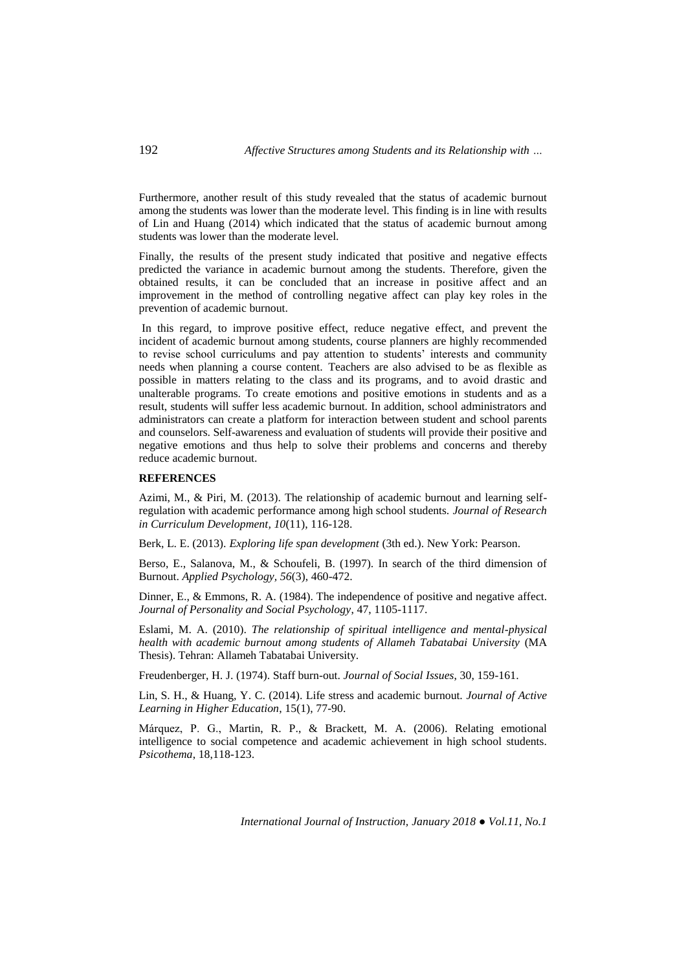Furthermore, another result of this study revealed that the status of academic burnout among the students was lower than the moderate level. This finding is in line with results of Lin and Huang (2014) which indicated that the status of academic burnout among students was lower than the moderate level.

Finally, the results of the present study indicated that positive and negative effects predicted the variance in academic burnout among the students. Therefore, given the obtained results, it can be concluded that an increase in positive affect and an improvement in the method of controlling negative affect can play key roles in the prevention of academic burnout.

In this regard, to improve positive effect, reduce negative effect, and prevent the incident of academic burnout among students, course planners are highly recommended to revise school curriculums and pay attention to students' interests and community needs when planning a course content. Teachers are also advised to be as flexible as possible in matters relating to the class and its programs, and to avoid drastic and unalterable programs. To create emotions and positive emotions in students and as a result, students will suffer less academic burnout. In addition, school administrators and administrators can create a platform for interaction between student and school parents and counselors. Self-awareness and evaluation of students will provide their positive and negative emotions and thus help to solve their problems and concerns and thereby reduce academic burnout.

## **REFERENCES**

Azimi, M., & Piri, M. (2013). The relationship of academic burnout and learning selfregulation with academic performance among high school students. *Journal of Research in Curriculum Development, 10*(11), 116-128.

Berk, L. E. (2013). *Exploring life span development* (3th ed.). New York: Pearson.

Berso, E., Salanova, M., & Schoufeli, B. (1997). In search of the third dimension of Burnout. *Applied Psychology, 56*(3), 460-472.

Dinner, E., & Emmons, R. A. (1984). The independence of positive and negative affect. *Journal of Personality and Social Psychology*, 47, 1105-1117.

Eslami, M. A. (2010). *The relationship of spiritual intelligence and mental-physical health with academic burnout among students of Allameh Tabatabai University* (MA Thesis). Tehran: Allameh Tabatabai University.

Freudenberger, H. J. (1974). Staff burn-out. *Journal of Social Issues*, 30, 159-161.

Lin, S. H., & Huang, Y. C. (2014). Life stress and academic burnout. *Journal of Active Learning in Higher Education*, 15(1), 77-90.

Márquez, P. G., Martin, R. P., & Brackett, M. A. (2006). Relating emotional intelligence to social competence and academic achievement in high school students. *Psicothema*, 18,118-123.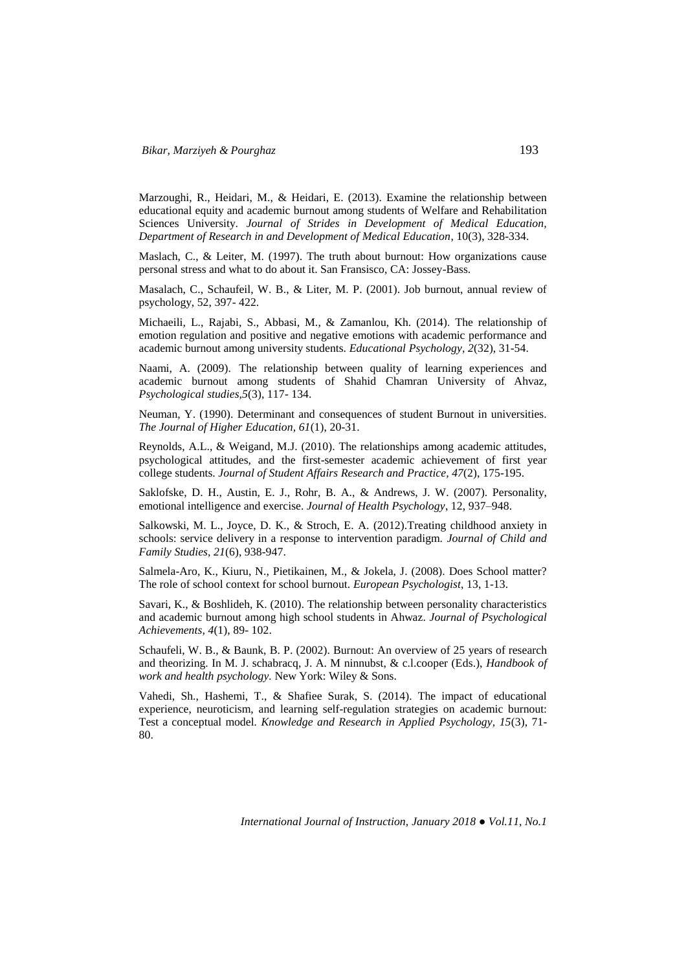Marzoughi, R., Heidari, M., & Heidari, E. (2013). Examine the relationship between educational equity and academic burnout among students of Welfare and Rehabilitation Sciences University. *Journal of Strides in Development of Medical Education, Department of Research in and Development of Medical Education*, 10(3), 328-334.

Maslach, C., & Leiter, M. (1997). The truth about burnout: How organizations cause personal stress and what to do about it. San Fransisco, CA: Jossey-Bass.

Masalach, C., Schaufeil, W. B., & Liter, M. P. (2001). Job burnout, annual review of psychology, 52, 397- 422.

Michaeili, L., Rajabi, S., Abbasi, M., & Zamanlou, Kh. (2014). The relationship of emotion regulation and positive and negative emotions with academic performance and academic burnout among university students. *Educational Psychology, 2*(32), 31-54.

Naami, A. (2009). The relationship between quality of learning experiences and academic burnout among students of Shahid Chamran University of Ahvaz, *Psychological studies,5*(3), 117- 134.

Neuman, Y. (1990). Determinant and consequences of student Burnout in universities. *The Journal of Higher Education, 61*(1), 20-31.

Reynolds, A.L., & Weigand, M.J. (2010). The relationships among academic attitudes, psychological attitudes, and the first-semester academic achievement of first year college students. *Journal of Student Affairs Research and Practice, 47*(2), 175-195.

Saklofske, D. H., Austin, E. J., Rohr, B. A., & Andrews, J. W. (2007). Personality, emotional intelligence and exercise. *Journal of Health Psychology*, 12, 937–948.

Salkowski, M. L., Joyce, D. K., & Stroch, E. A. (2012).Treating childhood anxiety in schools: service delivery in a response to intervention paradigm. *Journal of Child and Family Studies, 21*(6), 938-947.

Salmela-Aro, K., Kiuru, N., Pietikainen, M., & Jokela, J. (2008). Does School matter? The role of school context for school burnout. *European Psychologist*, 13, 1-13.

Savari, K., & Boshlideh, K. (2010). The relationship between personality characteristics and academic burnout among high school students in Ahwaz. *Journal of Psychological Achievements, 4*(1), 89- 102.

Schaufeli, W. B., & Baunk, B. P. (2002). Burnout: An overview of 25 years of research and theorizing. In M. J. schabracq, J. A. M ninnubst, & c.l.cooper (Eds.), *Handbook of work and health psychology.* New York: Wiley & Sons.

Vahedi, Sh., Hashemi, T., & Shafiee Surak, S. (2014). The impact of educational experience, neuroticism, and learning self-regulation strategies on academic burnout: Test a conceptual model*. Knowledge and Research in Applied Psychology, 15*(3), 71- 80.